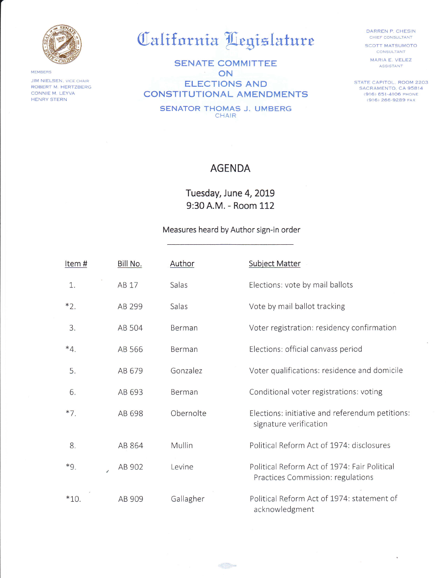

MEMBERS **JIM NIELSEN, VICE CHAIR** ROBERT M, HERTZBERG CONNIE M. LEYVA HENRY STERN

## California Legislature

SENATE COMMITTEE ON  $\mathcal{N}$ ELECTIONS AND CONSTITUTIONAL AMENDMENTS

SENATOR THOMAS J. UMBERG CHAIR

DARREN P, CHESIN CHIEF CONSULTANT SCOTT MATSUMOTO

CONSULTANT

MARIA E. VELEZ ASSISTANT

STATE CAPITOL. ROOM 2203 SACRAMENTO, CA 95814 (916) 651'4106 PHoNE 1916) 266-9289 FAX

## AGENDA

Tuesday, June 4, 2019 9:30 A.M. - Room 112

## Measures heard by Author sign-in order

| Item#    | Bill No. | Author    | <b>Subject Matter</b>                                                             |
|----------|----------|-----------|-----------------------------------------------------------------------------------|
| 1.       | AB 17    | Salas     | Elections: vote by mail ballots                                                   |
| $*2.$    | AB 299   | Salas     | Vote by mail ballot tracking                                                      |
| 3.       | AB 504   | Berman    | Voter registration: residency confirmation                                        |
| $*_{4.}$ | AB 566   | Berman    | Elections: official canvass period                                                |
| 5.       | AB 679   | Gonzalez  | Voter qualifications: residence and domicile                                      |
| 6.       | AB 693   | Berman    | Conditional voter registrations: voting                                           |
| $*7.$    | AB 698   | Obernolte | Elections: initiative and referendum petitions:<br>signature verification         |
| 8.       | AB 864   | Mullin    | Political Reform Act of 1974: disclosures                                         |
| $*9.$    | AB 902   | Levine    | Political Reform Act of 1974: Fair Political<br>Practices Commission: regulations |
| $*10.$   | AB 909   | Gallagher | Political Reform Act of 1974: statement of<br>acknowledgment                      |

منتقل